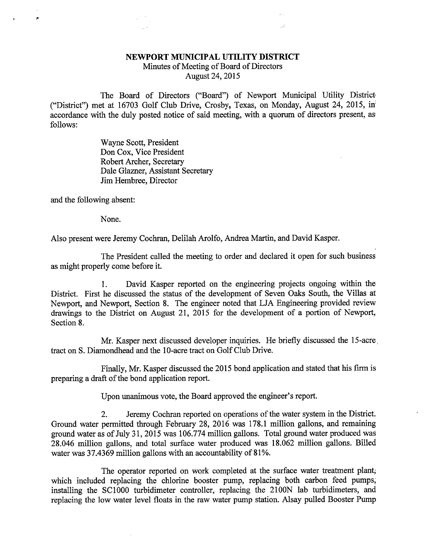## NEWPORT MUNICIPAL UTILITY DISTRICT

Minutes of Meeting of Board of Directors August 24, 2015

The Board of Directors ("Board") of Newport Municipal Utility District ("District") met at 16703 Golf Club Drive, Crosby, Texas, on Monday, August 24, 2015, in accordance with the duly posted notice of said meeting, with a quorum of directors present, as follows:

> Wayne Scott, President Don Cox, Vice President Robert Archer, Secretary Dale Glazner, Assistant Secretary Jim Hembree, Director

and the following absent:

 $\overline{\phantom{a}}$ 

None.

Also present were Jeremy Cochran, Delilah Arolfo, Andrea Martin, and David Kasper.

The President called the meeting to order and declared it open for such business as might properly come before it.

1. David Kasper reported on the engineering projects ongoing within the District. First he discussed the status of the development of Seven Oaks South, the Villas at Newport, and Newport, Section 8. The engineer noted that LJA Engineering provided review drawings to the District on August 21, 2015 for the development of a portion of Newport, Section 8.

Mr. Kasper next discussed developer inquiries. He briefly discussed the 15-acre tract on S. Diamondhead and the 10-acre tract on Golf Club Drive.

Finally, Mr. Kasper discussed the 2015 bond application and stated that his firm is preparing a draft of the bond application report.

Upon unanimous vote, the Board approved the engineer's report.

2. Jeremy Cochran reported on operations of the water system in the District. Ground water permitted through February 28, 2016 was 178.1 million gallons, and remaining ground water as of July 31, 2015 was 106.774 million gallons. Total ground water produced was 28.046 million gallons, and total surface water produced was 18.062 million gallons. Billed water was 37.4369 million gallons with an accountability of 81%.

The operator reported on work completed at the surface water treatment plant; which included replacing the chlorine booster pump, replacing both carbon feed pumps, installing the SC1000 turbidimeter controller, replacing the 2100N lab turbidimeters, and replacing the low water level floats in the raw water pump station. Alsay pulled Booster Pump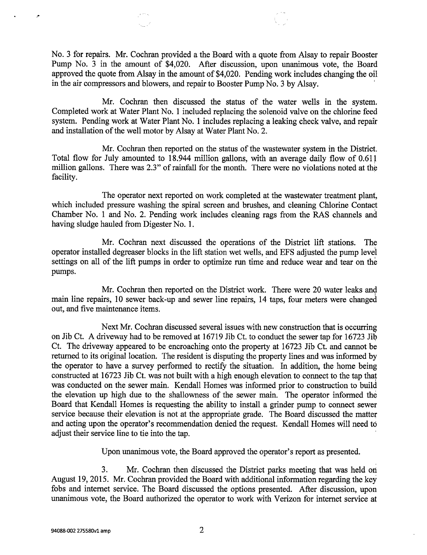No. 3 for repairs. Mr. Cochran provided a the Board with a quote from Alsay to repair Booster Pump No. 3 in the amount of \$4,020. After discussion, upon unanimous vote, the Board approved the quote from Alsay in the amount of \$4,020. Pending work includes changing the oil in the air compressors and blowers, and repair to Booster Pump No. 3 by Alsay.

Mr. Cochran then discussed the status of the water wells in the system. Completed work at Water Plant No. 1 included replacing the solenoid valve on the chlorine feed system. Pending work at Water Plant No. 1 includes replacing a leaking check valve, and repair and installation of the well motor by Alsay at Water Plant No. 2.

Mr. Cochran then reported on the status of the wastewater system in the District. Total flow for July amounted to 18.944 million gallons, with an average daily flow of 0.611 million gallons. There was 2.3" of rainfall for the month. There were no violations noted at the facility.

The operator next reported on work completed at the wastewater treatment plant, which included pressure washing the spiral screen and brushes, and cleaning Chlorine Contact Chamber No. 1 and No. 2. Pending work includes cleaning rags from the RAS channels and having sludge hauled from Digester No. 1.

Mr. Cochran next discussed the operations of the District lift stations. The operator installed degreaser blocks in the lift station wet wells, and EFS adjusted the pump level settings on all of the lift pumps in order to optimize run time and reduce wear and tear on the pumps.

Mr. Cochran then reported on the District work. There were 20 water leaks and main line repairs, 10 sewer back-up and sewer line repairs, 14 taps, four meters were changed out, and five maintenance items.

Next Mr. Cochran discussed several issues with new construction that is occurring on Jib Ct. A driveway had to be removed at 16719 Jib Ct. to conduct the sewer tap for 16723 Jib Ct. The driveway appeared to be encroaching onto the property at 16723 Jib Ct. and cannot be returned to its original location. The resident is disputing the property lines and was informed by the operator to have a survey performed to rectify the situation. In addition, the home being constructed at 16723 Jib Ct. was not built with a high enough elevation to connect to the tap that was conducted on the sewer main. Kendall Homes was informed prior to construction to build the elevation up high due to the shallowness of the sewer main. The operator informed the Board that Kendall Homes is requesting the ability to install a grinder pump to connect sewer service because their elevation is not at the appropriate grade. The Board discussed the matter and acting upon the operator's recommendation denied the request. Kendall Homes will need to adjust their service line to tie into the tap.

Upon unanimous vote, the Board approved the operator's report as presented.

3. Mr. Cochran then discussed the District parks meeting that was held on August 19, 2015. Mr. Cochran provided the Board with additional information regarding the key fobs and internet service. The Board discussed the options presented. After discussion, upon unanimous vote, the Board authorized the operator to work with Verizon for internet service at